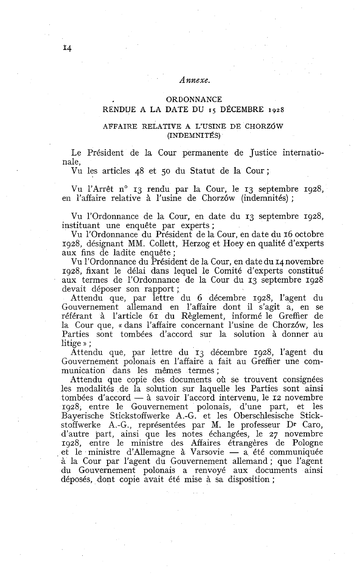#### *Annexe.*

# ORDONNANCE RENDUE **A** LA DATE DU **I 5** DÉCEMBRE I **928**

# AFFAIRE RELATIVE A L'USINE DE CHORZÓW (INDEMNITÉS)

Le Président de la Cour permanente de Justice internationale,

Vu les articles 48 et **50** du Statut de la Cour;

Vu l'Arrêt n° 13 rendu par la Cour, le 13 septembre 1928, en l'affaire relative à l'usine de Chorzów (indemnités);

Vu l'ordonnance de la Cour, en date du 13 septembre 1928, instituant une enquête par experts ;

Vu l'Ordonnance du Président de la Cour, en date du 16 octobre 1928, désignant MM. Collett, Herzog et Hoey en qualité d'experts aux fins de ladite enquête ;

Vu l'ordonnance du Président de la Cour, en date du 14 novembre 1928, fixant le délai dans lequel le Comité d'experts constitué aux termes de l'ordonnance de la Cour du 13 septembre 1928 devait déposer son rapport ;

Attendu que, par lettre du 6 décembre 1928, l'agent du Gouvernement allemand en l'affaire dont il s'agit a, en se référant à l'article 61 du Règlement, informé le Greffier de la Cour que, « dans l'affaire concernant l'usine de Chorzów, les Parties sont tombées d'accord sur la solution à donner au litige » ;

Attendu que, par lettre du 13 décembre 1928, l'agent du Gouvernement polonais en l'affaire a fait au Greffier une communication dans les mêmes termes ;

Attendu que copie des documents où se trouvent consignées les modalités de la solution sur laquelle les Parties sont ainsi tombées d'accord - à savoir l'accord intervenu, le 12 novembre 1928, entre le Gouvernement polonais, d'une part, et les Bayerische Stickstoffwerke A.-G. et les Oberschlesische Stickstoffwerke A.-G., représentées par M. le professeur Dr Caro, d'autre part, ainsi que les notes échangées, le 27 novembre 1928, entre le ministre des Affaires étrangères de Pologne et le ministre d'Allemagne à Varsovie - a été communiquée <sup>à</sup>la Cour par l'agent du Gouvernement allemand ; que l'agent du Gouvernement polonais a renvoyé aux documents ainsi déposés, dont copie avait été mise à sa disposition ;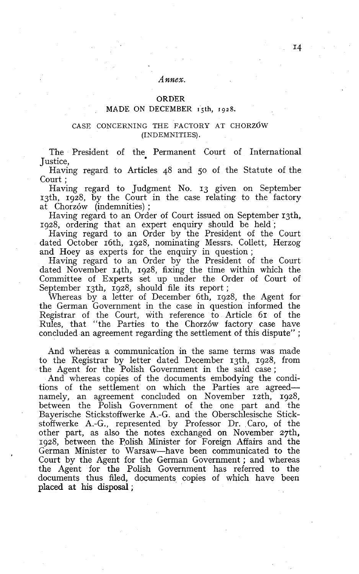# **Annex.**

#### *ORDER*

# *MADE ON DECEMBER isth, 1928*.

### CASE CONCERNING THE FACTORY AT CHORZOW (INDEMNITIES).

The President of the Permanent Court of International Justice,

Having regard to Articles 48 and 50 of the Statute of the Court ;

Having regard to Judgment No. 13 given on September 13th, 1928, by the Court in the case relating to the factory at Chorzów (indemnities);

Having regard to an Order of Court issued on September 13th, 1928, ordering that an expert enquiry should be held ;

Having regard to an Order by the President of the Court dated October 16th, 1928, nominating Messrs. Collett, Herzog and Hoey as experts for the enquiry in question ;

Having regard to an Order by the President of the Court dated November 14th, 1928, fixing the time within which the Committee of Experts set up under the Order of Court of September 13th, 1928, should file its report;

Whereas by a letter of December 6th, 1928, the Agent for the German Government in the case in question informed the Registrar of the Court, with reference to Article 61 of the Rules, that "the Parties to the Chorzow factory case have concluded an agreement regarding the settlement of this dispute" ;

And whereas a communication in the same terms was made to the Registrar by letter dated December 13th, 1928, from the Agent for the Polish Government in the said case :

And whereas copies of the documents embodying the conditions of the settlement on which the Parties are agreednamely, an agreement concluded on November 12th, 1928, between the Polish Government of the one part and the Bayerische Stickstoffwerke A.-G. and the Oberschlesische Stickstoffwerke A.-G., represented by Professor Dr. Caro, of the other part, as also the notes exchanged on November 27th, 1928, between the Polish Minister for Foreign Affairs and the German Minister to Warsaw-have been communicated to the Court by the Agent for the German Government ; and whereas the Agent for the Polish Government has referred to the documents thus filed, documents copies of which have been placed at **his** disposal ;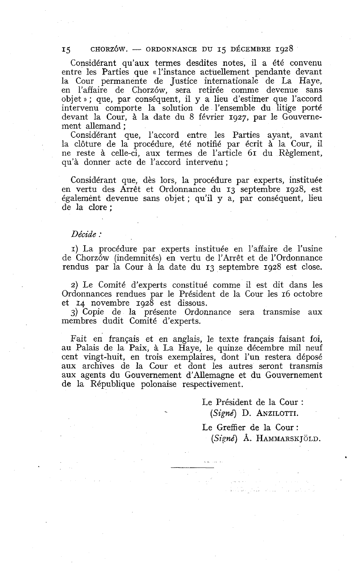### 15 CHORZÓW. - ORDONNANCE DU 15 DÉCEMBRE 1928

Considérant qu'aux termes desdites notes, il a été convenu entre les Parties que « l'instance actuellement pendante devant la Cour permanente de Justice internationale de La Haye, en l'affaire de Chorzów, sera retirée comme devenue sans objet » ; que, par conséquent, il y a lieu d'estimer que l'accord intervenu comporte la solution de l'ensemble du litige porté devant la Cour, à la date du 8 février 1927, par le Gouvernement allemand ;

Considérant que, l'accord entre les Parties ayant, avant la clôture de la procédure, été notifié par écrit à la Cour, il ne reste à celle-ci, aux termes de l'article 61 du Règlement, qu'à donner acte de l'accord intervenu ;

Considérant que, dès lors, la procédure par experts, instituée en vertu des Arrêt et Ordonnance du 13 septembre 1928, est également devenue sans objet ; qu'il y a, par conséquent, lieu de la clore ;

#### *Décide* :

**I)** La procédure par experts instituée en l'affaire de l'usine de Chorzów (indemnités) en vertu de l'Arrêt et de l'Ordonnance rendus par la Cour à la date du 13 septembre 1928 est close.

2) Le Comité d'experts constitué comme il est dit dans les Ordonnances rendues par le Président de la Cour les 16 octobre et **14** novembre 1928 est dissous.

3) Copie de la présente Ordonnance sera transmise aux membres dudit Comité d'experts.

Fait en français et en anglais, le texte français faisant foi, au Palais de la Paix, à La Haye, le quinze décembre mil neuf cent vingt-huit, en trois exemplaires, dont l'un restera déposé aux archives de la Cour et dont les autres seront transmis aux agents du Gouvernement d'Allemagne et du Gouvernement de la République polonaise respectivement.

Le Président de la Cour : . *(Signé) D.* **ANZILOTTI.** 

البارحا الأباري الأرزابة

Le Greffier de la Cour: *(Signé)* Å. HAMMARSKJÖLD.